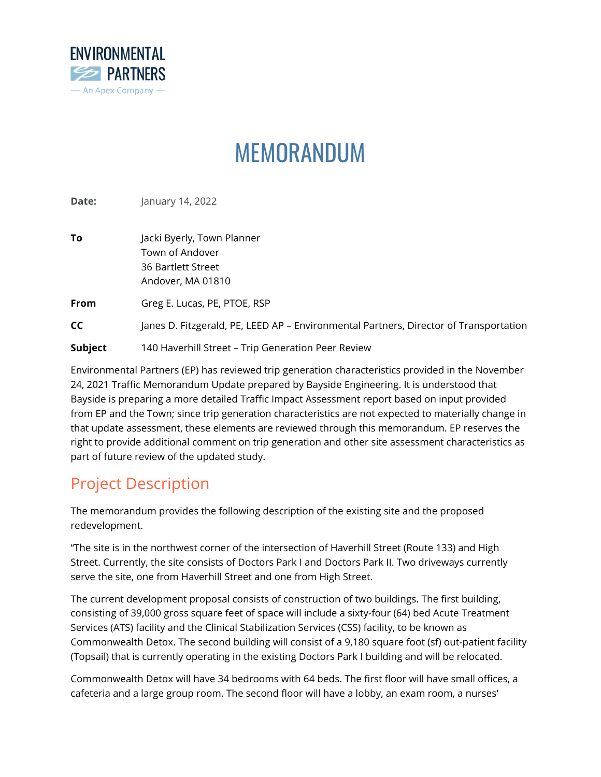

# MEMORANDUM

**Date: January 14, 2022** 

| To        | Jacki Byerly, Town Planner<br>Town of Andover<br>36 Bartlett Street<br>Andover, MA 01810 |
|-----------|------------------------------------------------------------------------------------------|
| From      | Greg E. Lucas, PE, PTOE, RSP                                                             |
| <b>CC</b> | Janes D. Fitzgerald, PE, LEED AP - Environmental Partners, Director of Transportation    |
| Subject   | 140 Haverhill Street - Trip Generation Peer Review                                       |

Environmental Partners (EP) has reviewed trip generation characteristics provided in the November 24, 2021 Traffic Memorandum Update prepared by Bayside Engineering. It is understood that Bayside is preparing a more detailed Traffic Impact Assessment report based on input provided from EP and the Town; since trip generation characteristics are not expected to materially change in that update assessment, these elements are reviewed through this memorandum. EP reserves the right to provide additional comment on trip generation and other site assessment characteristics as part of future review of the updated study.

## Project Description

The memorandum provides the following description of the existing site and the proposed redevelopment.

"The site is in the northwest corner of the intersection of Haverhill Street (Route 133) and High Street. Currently, the site consists of Doctors Park I and Doctors Park II. Two driveways currently serve the site, one from Haverhill Street and one from High Street.

The current development proposal consists of construction of two buildings. The first building, consisting of 39,000 gross square feet of space will include a sixty-four (64) bed Acute Treatment Services (ATS) facility and the Clinical Stabilization Services (CSS) facility, to be known as Commonwealth Detox. The second building will consist of a 9,180 square foot (sf) out-patient facility (Topsail) that is currently operating in the existing Doctors Park I building and will be relocated.

Commonwealth Detox will have 34 bedrooms with 64 beds. The first floor will have small offices, a cafeteria and a large group room. The second floor will have a lobby, an exam room, a nurses'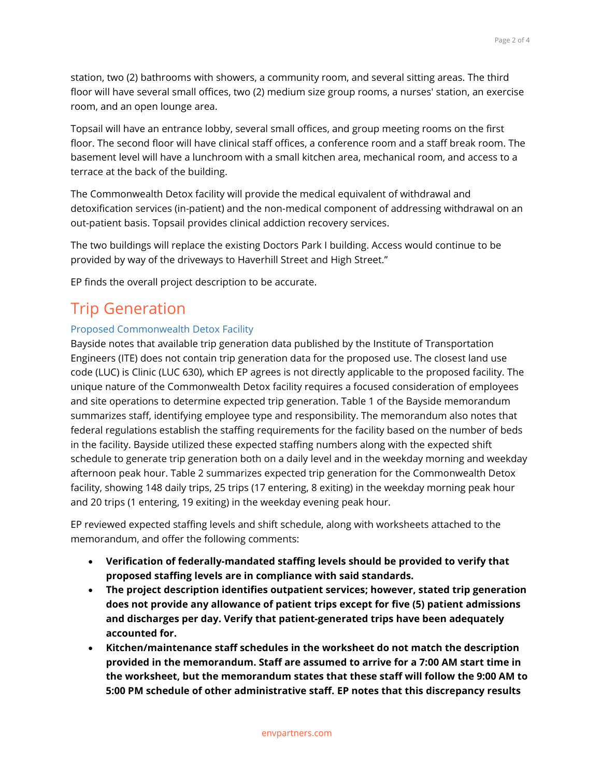station, two (2) bathrooms with showers, a community room, and several sitting areas. The third floor will have several small offices, two (2) medium size group rooms, a nurses' station, an exercise room, and an open lounge area.

Topsail will have an entrance lobby, several small offices, and group meeting rooms on the first floor. The second floor will have clinical staff offices, a conference room and a staff break room. The basement level will have a lunchroom with a small kitchen area, mechanical room, and access to a terrace at the back of the building.

The Commonwealth Detox facility will provide the medical equivalent of withdrawal and detoxification services (in-patient) and the non-medical component of addressing withdrawal on an out-patient basis. Topsail provides clinical addiction recovery services.

The two buildings will replace the existing Doctors Park I building. Access would continue to be provided by way of the driveways to Haverhill Street and High Street."

EP finds the overall project description to be accurate.

## Trip Generation

#### Proposed Commonwealth Detox Facility

Bayside notes that available trip generation data published by the Institute of Transportation Engineers (ITE) does not contain trip generation data for the proposed use. The closest land use code (LUC) is Clinic (LUC 630), which EP agrees is not directly applicable to the proposed facility. The unique nature of the Commonwealth Detox facility requires a focused consideration of employees and site operations to determine expected trip generation. Table 1 of the Bayside memorandum summarizes staff, identifying employee type and responsibility. The memorandum also notes that federal regulations establish the staffing requirements for the facility based on the number of beds in the facility. Bayside utilized these expected staffing numbers along with the expected shift schedule to generate trip generation both on a daily level and in the weekday morning and weekday afternoon peak hour. Table 2 summarizes expected trip generation for the Commonwealth Detox facility, showing 148 daily trips, 25 trips (17 entering, 8 exiting) in the weekday morning peak hour and 20 trips (1 entering, 19 exiting) in the weekday evening peak hour.

EP reviewed expected staffing levels and shift schedule, along with worksheets attached to the memorandum, and offer the following comments:

- **Verification of federally-mandated staffing levels should be provided to verify that proposed staffing levels are in compliance with said standards.**
- **The project description identifies outpatient services; however, stated trip generation does not provide any allowance of patient trips except for five (5) patient admissions and discharges per day. Verify that patient-generated trips have been adequately accounted for.**
- **Kitchen/maintenance staff schedules in the worksheet do not match the description provided in the memorandum. Staff are assumed to arrive for a 7:00 AM start time in the worksheet, but the memorandum states that these staff will follow the 9:00 AM to 5:00 PM schedule of other administrative staff. EP notes that this discrepancy results**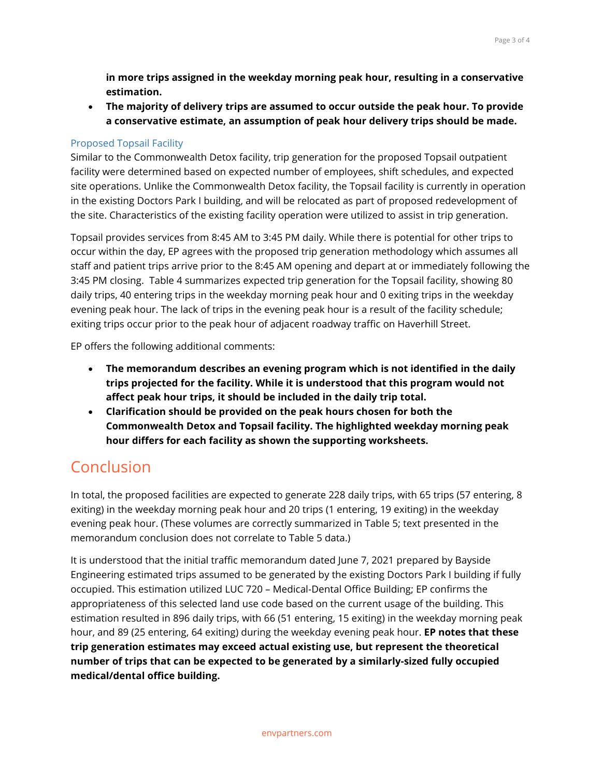**in more trips assigned in the weekday morning peak hour, resulting in a conservative estimation.**

• **The majority of delivery trips are assumed to occur outside the peak hour. To provide a conservative estimate, an assumption of peak hour delivery trips should be made.**

### Proposed Topsail Facility

Similar to the Commonwealth Detox facility, trip generation for the proposed Topsail outpatient facility were determined based on expected number of employees, shift schedules, and expected site operations. Unlike the Commonwealth Detox facility, the Topsail facility is currently in operation in the existing Doctors Park I building, and will be relocated as part of proposed redevelopment of the site. Characteristics of the existing facility operation were utilized to assist in trip generation.

Topsail provides services from 8:45 AM to 3:45 PM daily. While there is potential for other trips to occur within the day, EP agrees with the proposed trip generation methodology which assumes all staff and patient trips arrive prior to the 8:45 AM opening and depart at or immediately following the 3:45 PM closing. Table 4 summarizes expected trip generation for the Topsail facility, showing 80 daily trips, 40 entering trips in the weekday morning peak hour and 0 exiting trips in the weekday evening peak hour. The lack of trips in the evening peak hour is a result of the facility schedule; exiting trips occur prior to the peak hour of adjacent roadway traffic on Haverhill Street.

EP offers the following additional comments:

- **The memorandum describes an evening program which is not identified in the daily trips projected for the facility. While it is understood that this program would not affect peak hour trips, it should be included in the daily trip total.**
- **Clarification should be provided on the peak hours chosen for both the Commonwealth Detox and Topsail facility. The highlighted weekday morning peak hour differs for each facility as shown the supporting worksheets.**

## Conclusion

In total, the proposed facilities are expected to generate 228 daily trips, with 65 trips (57 entering, 8 exiting) in the weekday morning peak hour and 20 trips (1 entering, 19 exiting) in the weekday evening peak hour. (These volumes are correctly summarized in Table 5; text presented in the memorandum conclusion does not correlate to Table 5 data.)

It is understood that the initial traffic memorandum dated June 7, 2021 prepared by Bayside Engineering estimated trips assumed to be generated by the existing Doctors Park I building if fully occupied. This estimation utilized LUC 720 – Medical-Dental Office Building; EP confirms the appropriateness of this selected land use code based on the current usage of the building. This estimation resulted in 896 daily trips, with 66 (51 entering, 15 exiting) in the weekday morning peak hour, and 89 (25 entering, 64 exiting) during the weekday evening peak hour. **EP notes that these trip generation estimates may exceed actual existing use, but represent the theoretical number of trips that can be expected to be generated by a similarly-sized fully occupied medical/dental office building.**